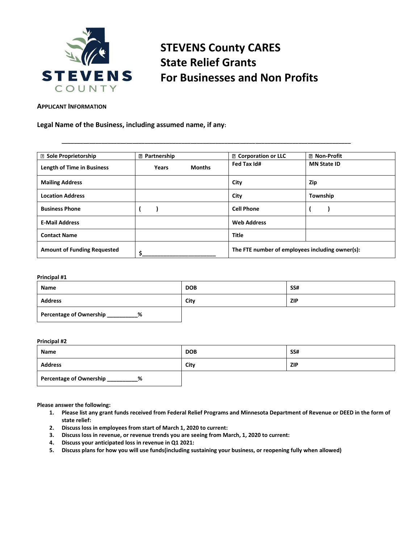

# **STEVENS County CARES State Relief Grants For Businesses and Non Profits**

#### **APPLICANT INFORMATION**

#### **Legal Name of the Business, including assumed name, if any:**

| <b>2</b> Sole Proprietorship       | <b>2 Partnership</b> |               | <b>D</b> Corporation or LLC                     | <b>2 Non-Profit</b> |
|------------------------------------|----------------------|---------------|-------------------------------------------------|---------------------|
| <b>Length of Time in Business</b>  | Years                | <b>Months</b> | Fed Tax Id#                                     | <b>MN State ID</b>  |
| <b>Mailing Address</b>             |                      |               | City                                            | Zip                 |
| <b>Location Address</b>            |                      |               | City                                            | Township            |
| <b>Business Phone</b>              |                      |               | <b>Cell Phone</b>                               |                     |
| <b>E-Mail Address</b>              |                      |               | <b>Web Address</b>                              |                     |
| <b>Contact Name</b>                |                      |               | <b>Title</b>                                    |                     |
| <b>Amount of Funding Requested</b> |                      |               | The FTE number of employees including owner(s): |                     |

**\_\_\_\_\_\_\_\_\_\_\_\_\_\_\_\_\_\_\_\_\_\_\_\_\_\_\_\_\_\_\_\_\_\_\_\_\_\_\_\_\_\_\_\_\_\_\_\_\_\_\_\_\_\_\_\_\_\_\_\_\_\_\_\_\_\_\_\_\_\_\_\_\_\_\_\_\_\_\_\_\_\_\_\_\_\_\_\_\_\_\_\_\_\_**

#### **Principal #1**

| Name                         | <b>DOB</b> | SS# |
|------------------------------|------------|-----|
| <b>Address</b>               | City       | ZIP |
| Percentage of Ownership<br>% |            |     |

#### **Principal #2**

| Name                         | <b>DOB</b>         | <b>SS#</b> |
|------------------------------|--------------------|------------|
| <b>Address</b>               | City<br><b>ZIP</b> |            |
| Percentage of Ownership<br>% |                    |            |

**Please answer the following:**

- **1. Please list any grant funds received from Federal Relief Programs and Minnesota Department of Revenue or DEED in the form of state relief:**
- **2. Discuss loss in employees from start of March 1, 2020 to current:**
- **3. Discuss loss in revenue, or revenue trends you are seeing from March, 1, 2020 to current:**
- **4. Discuss your anticipated loss in revenue in Q1 2021:**
- **5. Discuss plans for how you will use funds(including sustaining your business, or reopening fully when allowed)**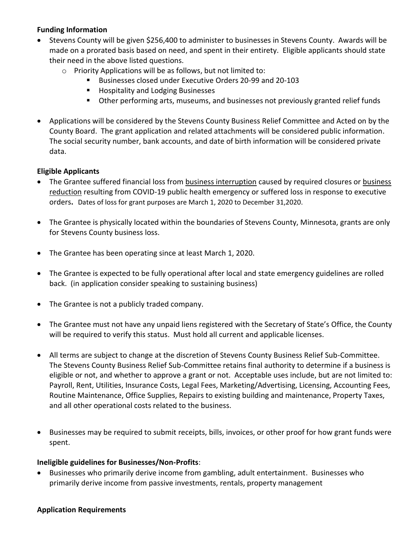## **Funding Information**

- Stevens County will be given \$256,400 to administer to businesses in Stevens County. Awards will be made on a prorated basis based on need, and spent in their entirety. Eligible applicants should state their need in the above listed questions.
	- o Priority Applications will be as follows, but not limited to:
		- Businesses closed under Executive Orders 20-99 and 20-103
		- Hospitality and Lodging Businesses
		- Other performing arts, museums, and businesses not previously granted relief funds
- Applications will be considered by the Stevens County Business Relief Committee and Acted on by the County Board. The grant application and related attachments will be considered public information. The social security number, bank accounts, and date of birth information will be considered private data.

## **Eligible Applicants**

- The Grantee suffered financial loss from business interruption caused by required closures or business reduction resulting from COVID-19 public health emergency or suffered loss in response to executive orders**.** Dates of loss for grant purposes are March 1, 2020 to December 31,2020.
- The Grantee is physically located within the boundaries of Stevens County, Minnesota, grants are only for Stevens County business loss.
- The Grantee has been operating since at least March 1, 2020.
- The Grantee is expected to be fully operational after local and state emergency guidelines are rolled back. (in application consider speaking to sustaining business)
- The Grantee is not a publicly traded company.
- The Grantee must not have any unpaid liens registered with the Secretary of State's Office, the County will be required to verify this status. Must hold all current and applicable licenses.
- All terms are subject to change at the discretion of Stevens County Business Relief Sub-Committee. The Stevens County Business Relief Sub-Committee retains final authority to determine if a business is eligible or not, and whether to approve a grant or not. Acceptable uses include, but are not limited to: Payroll, Rent, Utilities, Insurance Costs, Legal Fees, Marketing/Advertising, Licensing, Accounting Fees, Routine Maintenance, Office Supplies, Repairs to existing building and maintenance, Property Taxes, and all other operational costs related to the business.
- Businesses may be required to submit receipts, bills, invoices, or other proof for how grant funds were spent.

### **Ineligible guidelines for Businesses/Non-Profits**:

• Businesses who primarily derive income from gambling, adult entertainment. Businesses who primarily derive income from passive investments, rentals, property management

### **Application Requirements**